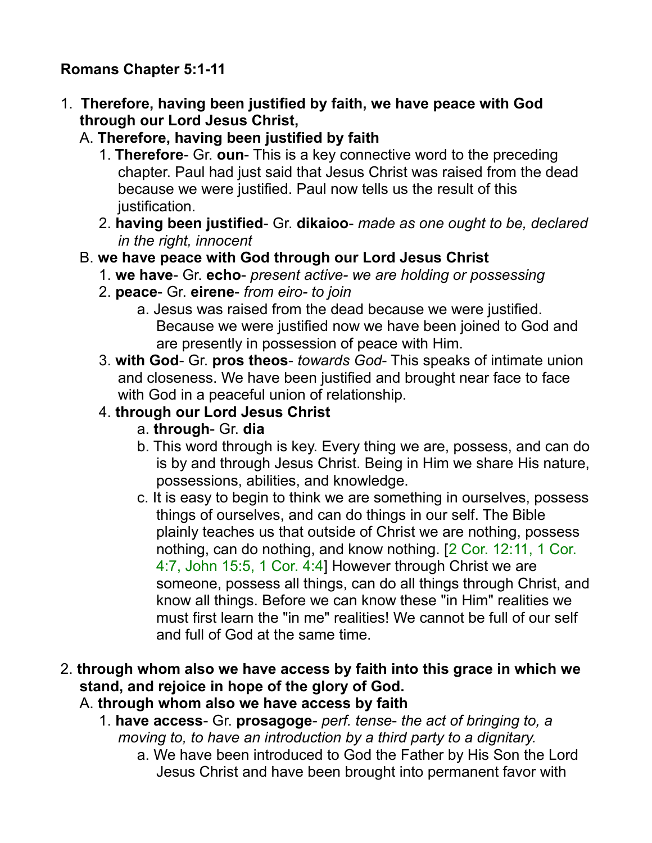### **Romans Chapter 5:1-11**

- 1. **Therefore, having been justified by faith, we have peace with God through our Lord Jesus Christ,** 
	- A. **Therefore, having been justified by faith**
		- 1. **Therefore** Gr. **oun** This is a key connective word to the preceding chapter. Paul had just said that Jesus Christ was raised from the dead because we were justified. Paul now tells us the result of this justification.
		- 2. **having been justified** Gr. **dikaioo** *made as one ought to be, declared in the right, innocent*
	- B. **we have peace with God through our Lord Jesus Christ**
		- 1. **we have** Gr. **echo** *present active- we are holding or possessing*
		- 2. **peace** Gr. **eirene** *from eiro- to join*
			- a. Jesus was raised from the dead because we were justified. Because we were justified now we have been joined to God and are presently in possession of peace with Him.
		- 3. **with God** Gr. **pros theos** *towards God* This speaks of intimate union and closeness. We have been justified and brought near face to face with God in a peaceful union of relationship.

## 4. **through our Lord Jesus Christ**

- a. **through** Gr. **dia**
- b. This word through is key. Every thing we are, possess, and can do is by and through Jesus Christ. Being in Him we share His nature, possessions, abilities, and knowledge.
- c. It is easy to begin to think we are something in ourselves, possess things of ourselves, and can do things in our self. The Bible plainly teaches us that outside of Christ we are nothing, possess nothing, can do nothing, and know nothing. [2 Cor. 12:11, 1 Cor. 4:7, John 15:5, 1 Cor. 4:4] However through Christ we are someone, possess all things, can do all things through Christ, and know all things. Before we can know these "in Him" realities we must first learn the "in me" realities! We cannot be full of our self and full of God at the same time.
- 2. **through whom also we have access by faith into this grace in which we stand, and rejoice in hope of the glory of God.** 
	- A. **through whom also we have access by faith**
		- 1. **have access** Gr. **prosagoge** *perf. tense the act of bringing to, a moving to, to have an introduction by a third party to a dignitary.* 
			- a. We have been introduced to God the Father by His Son the Lord Jesus Christ and have been brought into permanent favor with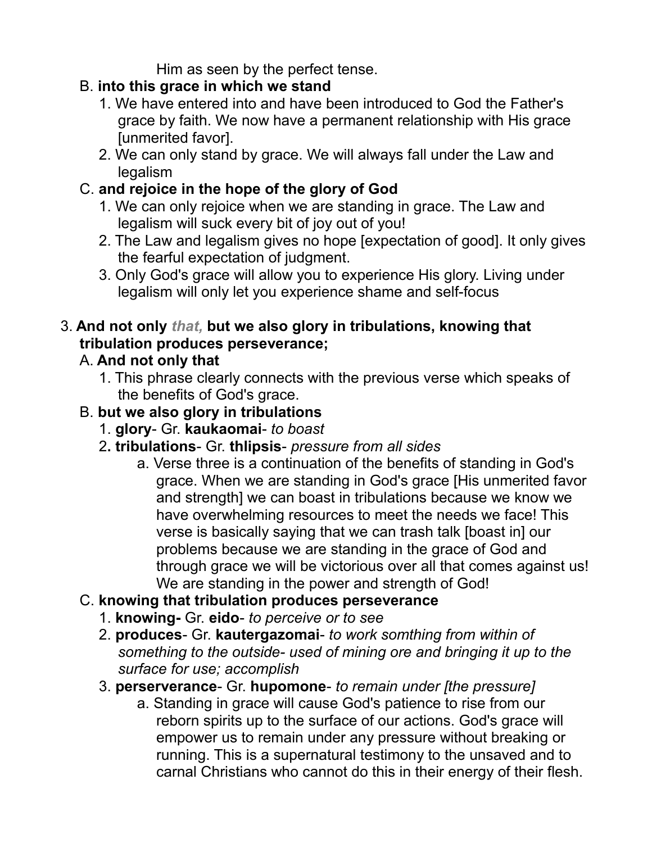Him as seen by the perfect tense.

## B. **into this grace in which we stand**

- 1. We have entered into and have been introduced to God the Father's grace by faith. We now have a permanent relationship with His grace [unmerited favor].
- 2. We can only stand by grace. We will always fall under the Law and legalism

# C. **and rejoice in the hope of the glory of God**

- 1. We can only rejoice when we are standing in grace. The Law and legalism will suck every bit of joy out of you!
- 2. The Law and legalism gives no hope [expectation of good]. It only gives the fearful expectation of judgment.
- 3. Only God's grace will allow you to experience His glory. Living under legalism will only let you experience shame and self-focus

# 3. **And not only** *that,* **but we also glory in tribulations, knowing that tribulation produces perseverance;**

# A. **And not only that**

1. This phrase clearly connects with the previous verse which speaks of the benefits of God's grace.

# B. **but we also glory in tribulations**

- 1. **glory** Gr. **kaukaomai** *to boast*
- 2**. tribulations** Gr. **thlipsis** *pressure from all sides*
	- a. Verse three is a continuation of the benefits of standing in God's grace. When we are standing in God's grace [His unmerited favor and strength] we can boast in tribulations because we know we have overwhelming resources to meet the needs we face! This verse is basically saying that we can trash talk [boast in] our problems because we are standing in the grace of God and through grace we will be victorious over all that comes against us! We are standing in the power and strength of God!

# C. **knowing that tribulation produces perseverance**

- 1. **knowing-** Gr. **eido** *to perceive or to see*
- 2. **produces** Gr. **kautergazomai** *to work somthing from within of something to the outside- used of mining ore and bringing it up to the surface for use; accomplish*
- 3. **perserverance** Gr. **hupomone** *to remain under [the pressure]*
	- a. Standing in grace will cause God's patience to rise from our reborn spirits up to the surface of our actions. God's grace will empower us to remain under any pressure without breaking or running. This is a supernatural testimony to the unsaved and to carnal Christians who cannot do this in their energy of their flesh.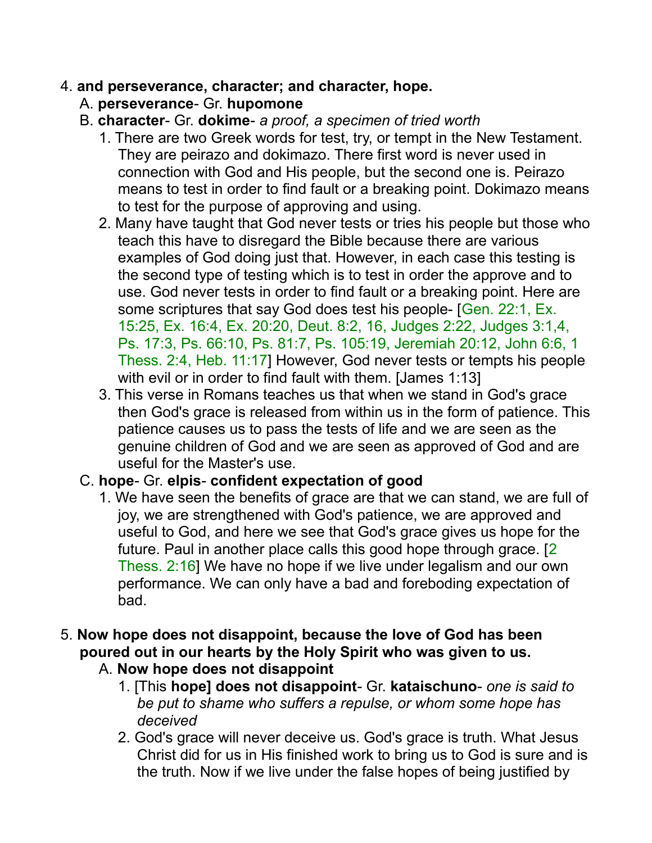#### 4. **and perseverance, character; and character, hope.**

- A. **perseverance** Gr. **hupomone**
- B. **character** Gr. **dokime** *a proof, a specimen of tried worth*
	- 1. There are two Greek words for test, try, or tempt in the New Testament. They are peirazo and dokimazo. There first word is never used in connection with God and His people, but the second one is. Peirazo means to test in order to find fault or a breaking point. Dokimazo means to test for the purpose of approving and using.
	- 2. Many have taught that God never tests or tries his people but those who teach this have to disregard the Bible because there are various examples of God doing just that. However, in each case this testing is the second type of testing which is to test in order the approve and to use. God never tests in order to find fault or a breaking point. Here are some scriptures that say God does test his people- [Gen. 22:1, Ex. 15:25, Ex. 16:4, Ex. 20:20, Deut. 8:2, 16, Judges 2:22, Judges 3:1,4, Ps. 17:3, Ps. 66:10, Ps. 81:7, Ps. 105:19, Jeremiah 20:12, John 6:6, 1 Thess. 2:4, Heb. 11:17] However, God never tests or tempts his people with evil or in order to find fault with them. [James 1:13]
	- 3. This verse in Romans teaches us that when we stand in God's grace then God's grace is released from within us in the form of patience. This patience causes us to pass the tests of life and we are seen as the genuine children of God and we are seen as approved of God and are useful for the Master's use.

#### C. **hope**- Gr. **elpis**- **confident expectation of good**

- 1. We have seen the benefits of grace are that we can stand, we are full of joy, we are strengthened with God's patience, we are approved and useful to God, and here we see that God's grace gives us hope for the future. Paul in another place calls this good hope through grace. [2 Thess. 2:16] We have no hope if we live under legalism and our own performance. We can only have a bad and foreboding expectation of bad.
- 5. **Now hope does not disappoint, because the love of God has been poured out in our hearts by the Holy Spirit who was given to us.**
	- A. **Now hope does not disappoint**
		- 1. [This **hope] does not disappoint** Gr. **kataischuno** *one is said to be put to shame who suffers a repulse, or whom some hope has deceived*
		- 2. God's grace will never deceive us. God's grace is truth. What Jesus Christ did for us in His finished work to bring us to God is sure and is the truth. Now if we live under the false hopes of being justified by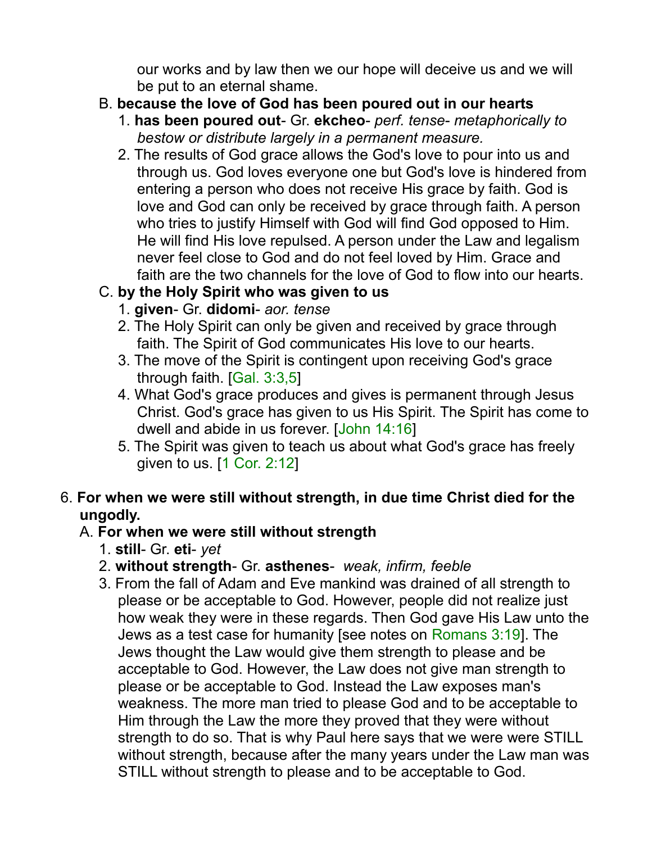our works and by law then we our hope will deceive us and we will be put to an eternal shame.

- B. **because the love of God has been poured out in our hearts**
	- 1. **has been poured out** Gr. **ekcheo** *perf. tense metaphorically to bestow or distribute largely in a permanent measure.*
	- 2. The results of God grace allows the God's love to pour into us and through us. God loves everyone one but God's love is hindered from entering a person who does not receive His grace by faith. God is love and God can only be received by grace through faith. A person who tries to justify Himself with God will find God opposed to Him. He will find His love repulsed. A person under the Law and legalism never feel close to God and do not feel loved by Him. Grace and faith are the two channels for the love of God to flow into our hearts.

## C. **by the Holy Spirit who was given to us**

- 1. **given** Gr. **didomi** *aor. tense*
- 2. The Holy Spirit can only be given and received by grace through faith. The Spirit of God communicates His love to our hearts.
- 3. The move of the Spirit is contingent upon receiving God's grace through faith. [Gal. 3:3,5]
- 4. What God's grace produces and gives is permanent through Jesus Christ. God's grace has given to us His Spirit. The Spirit has come to dwell and abide in us forever. [John 14:16]
- 5. The Spirit was given to teach us about what God's grace has freely given to us. [1 Cor. 2:12]

#### 6. **For when we were still without strength, in due time Christ died for the ungodly.**

## A. **For when we were still without strength**

- 1. **still** Gr. **eti** *yet*
- 2. **without strength** Gr. **asthenes** *weak, infirm, feeble*
- 3. From the fall of Adam and Eve mankind was drained of all strength to please or be acceptable to God. However, people did not realize just how weak they were in these regards. Then God gave His Law unto the Jews as a test case for humanity [see notes on Romans 3:19]. The Jews thought the Law would give them strength to please and be acceptable to God. However, the Law does not give man strength to please or be acceptable to God. Instead the Law exposes man's weakness. The more man tried to please God and to be acceptable to Him through the Law the more they proved that they were without strength to do so. That is why Paul here says that we were were STILL without strength, because after the many years under the Law man was STILL without strength to please and to be acceptable to God.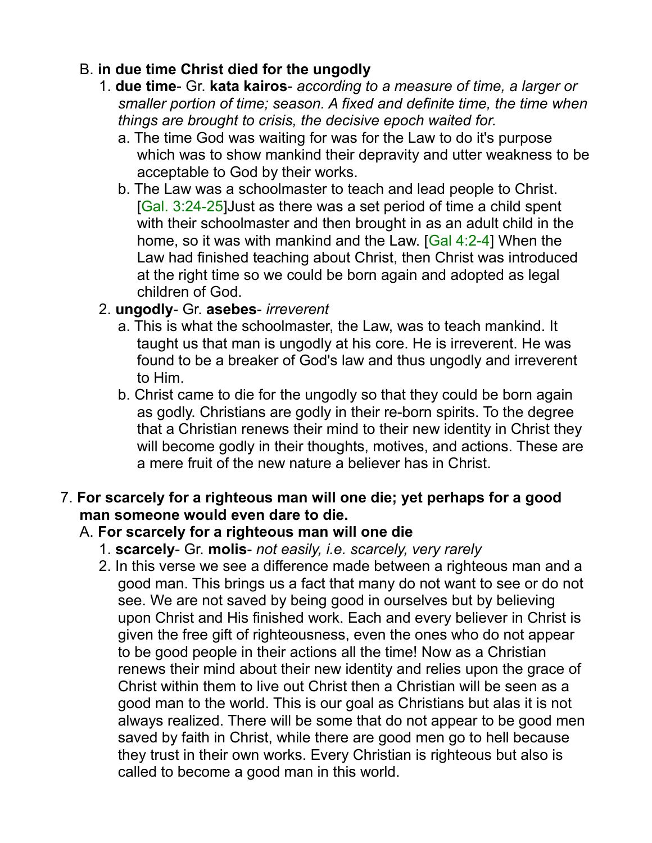#### B. **in due time Christ died for the ungodly**

- 1. **due time** Gr. **kata kairos** *according to a measure of time, a larger or smaller portion of time; season. A fixed and definite time, the time when things are brought to crisis, the decisive epoch waited for.*
	- a. The time God was waiting for was for the Law to do it's purpose which was to show mankind their depravity and utter weakness to be acceptable to God by their works.
	- b. The Law was a schoolmaster to teach and lead people to Christ. [Gal. 3:24-25]Just as there was a set period of time a child spent with their schoolmaster and then brought in as an adult child in the home, so it was with mankind and the Law. [Gal 4:2-4] When the Law had finished teaching about Christ, then Christ was introduced at the right time so we could be born again and adopted as legal children of God.

## 2. **ungodly**- Gr. **asebes**- *irreverent*

- a. This is what the schoolmaster, the Law, was to teach mankind. It taught us that man is ungodly at his core. He is irreverent. He was found to be a breaker of God's law and thus ungodly and irreverent to Him.
- b. Christ came to die for the ungodly so that they could be born again as godly. Christians are godly in their re-born spirits. To the degree that a Christian renews their mind to their new identity in Christ they will become godly in their thoughts, motives, and actions. These are a mere fruit of the new nature a believer has in Christ.
- 7. **For scarcely for a righteous man will one die; yet perhaps for a good man someone would even dare to die.**

## A. **For scarcely for a righteous man will one die**

- 1. **scarcely** Gr. **molis** *not easily, i.e. scarcely, very rarely*
- 2. In this verse we see a difference made between a righteous man and a good man. This brings us a fact that many do not want to see or do not see. We are not saved by being good in ourselves but by believing upon Christ and His finished work. Each and every believer in Christ is given the free gift of righteousness, even the ones who do not appear to be good people in their actions all the time! Now as a Christian renews their mind about their new identity and relies upon the grace of Christ within them to live out Christ then a Christian will be seen as a good man to the world. This is our goal as Christians but alas it is not always realized. There will be some that do not appear to be good men saved by faith in Christ, while there are good men go to hell because they trust in their own works. Every Christian is righteous but also is called to become a good man in this world.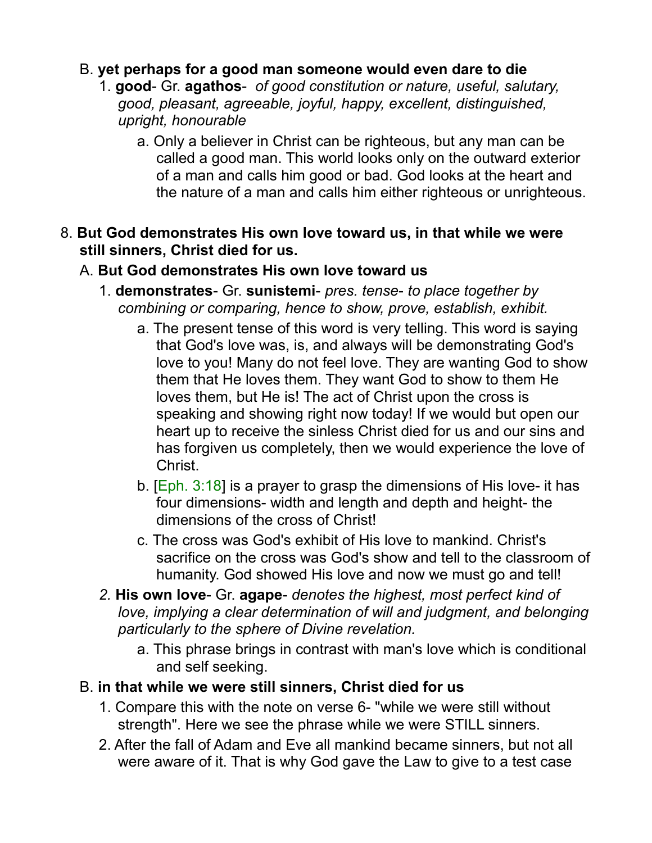#### B. **yet perhaps for a good man someone would even dare to die**

- 1. **good** Gr. **agathos** *of good constitution or nature, useful, salutary, good, pleasant, agreeable, joyful, happy, excellent, distinguished, upright, honourable*
	- a. Only a believer in Christ can be righteous, but any man can be called a good man. This world looks only on the outward exterior of a man and calls him good or bad. God looks at the heart and the nature of a man and calls him either righteous or unrighteous.
- 8. **But God demonstrates His own love toward us, in that while we were still sinners, Christ died for us.**

#### A. **But God demonstrates His own love toward us**

- 1. **demonstrates** Gr. **sunistemi** *pres. tense to place together by combining or comparing, hence to show, prove, establish, exhibit.*
	- a. The present tense of this word is very telling. This word is saying that God's love was, is, and always will be demonstrating God's love to you! Many do not feel love. They are wanting God to show them that He loves them. They want God to show to them He loves them, but He is! The act of Christ upon the cross is speaking and showing right now today! If we would but open our heart up to receive the sinless Christ died for us and our sins and has forgiven us completely, then we would experience the love of Christ.
	- b.  $[Eph. 3:18]$  is a prayer to grasp the dimensions of His love- it has four dimensions- width and length and depth and height- the dimensions of the cross of Christ!
	- c. The cross was God's exhibit of His love to mankind. Christ's sacrifice on the cross was God's show and tell to the classroom of humanity. God showed His love and now we must go and tell!
- *2.* **His own love** Gr. **agape** *denotes the highest, most perfect kind of love, implying a clear determination of will and judgment, and belonging particularly to the sphere of Divine revelation.* 
	- a. This phrase brings in contrast with man's love which is conditional and self seeking.
- B. **in that while we were still sinners, Christ died for us**
	- 1. Compare this with the note on verse 6- "while we were still without strength". Here we see the phrase while we were STILL sinners.
	- 2. After the fall of Adam and Eve all mankind became sinners, but not all were aware of it. That is why God gave the Law to give to a test case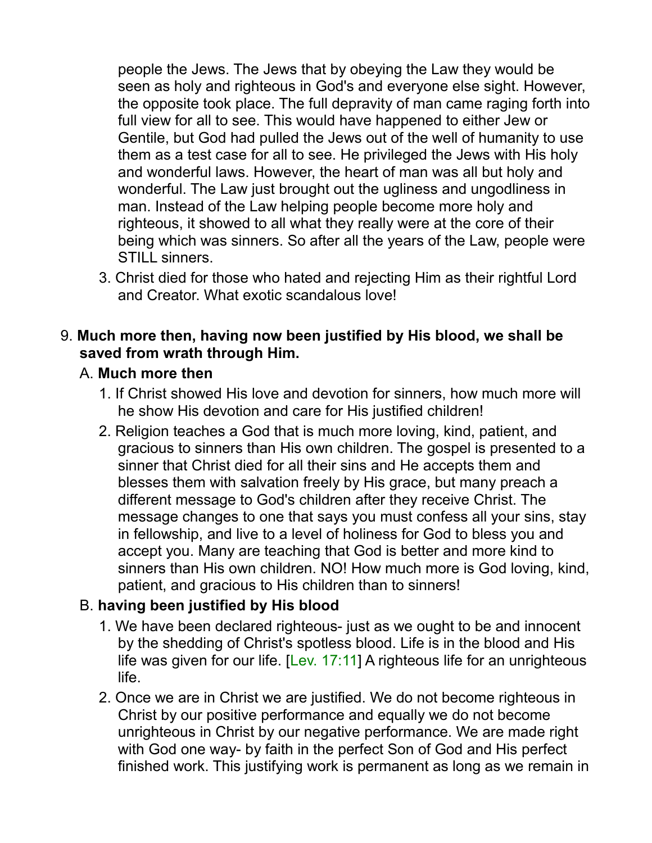people the Jews. The Jews that by obeying the Law they would be seen as holy and righteous in God's and everyone else sight. However, the opposite took place. The full depravity of man came raging forth into full view for all to see. This would have happened to either Jew or Gentile, but God had pulled the Jews out of the well of humanity to use them as a test case for all to see. He privileged the Jews with His holy and wonderful laws. However, the heart of man was all but holy and wonderful. The Law just brought out the ugliness and ungodliness in man. Instead of the Law helping people become more holy and righteous, it showed to all what they really were at the core of their being which was sinners. So after all the years of the Law, people were STILL sinners.

3. Christ died for those who hated and rejecting Him as their rightful Lord and Creator. What exotic scandalous love!

#### 9. **Much more then, having now been justified by His blood, we shall be saved from wrath through Him.**

#### A. **Much more then**

- 1. If Christ showed His love and devotion for sinners, how much more will he show His devotion and care for His justified children!
- 2. Religion teaches a God that is much more loving, kind, patient, and gracious to sinners than His own children. The gospel is presented to a sinner that Christ died for all their sins and He accepts them and blesses them with salvation freely by His grace, but many preach a different message to God's children after they receive Christ. The message changes to one that says you must confess all your sins, stay in fellowship, and live to a level of holiness for God to bless you and accept you. Many are teaching that God is better and more kind to sinners than His own children. NO! How much more is God loving, kind, patient, and gracious to His children than to sinners!

#### B. **having been justified by His blood**

- 1. We have been declared righteous- just as we ought to be and innocent by the shedding of Christ's spotless blood. Life is in the blood and His life was given for our life. [Lev. 17:11] A righteous life for an unrighteous life.
- 2. Once we are in Christ we are justified. We do not become righteous in Christ by our positive performance and equally we do not become unrighteous in Christ by our negative performance. We are made right with God one way- by faith in the perfect Son of God and His perfect finished work. This justifying work is permanent as long as we remain in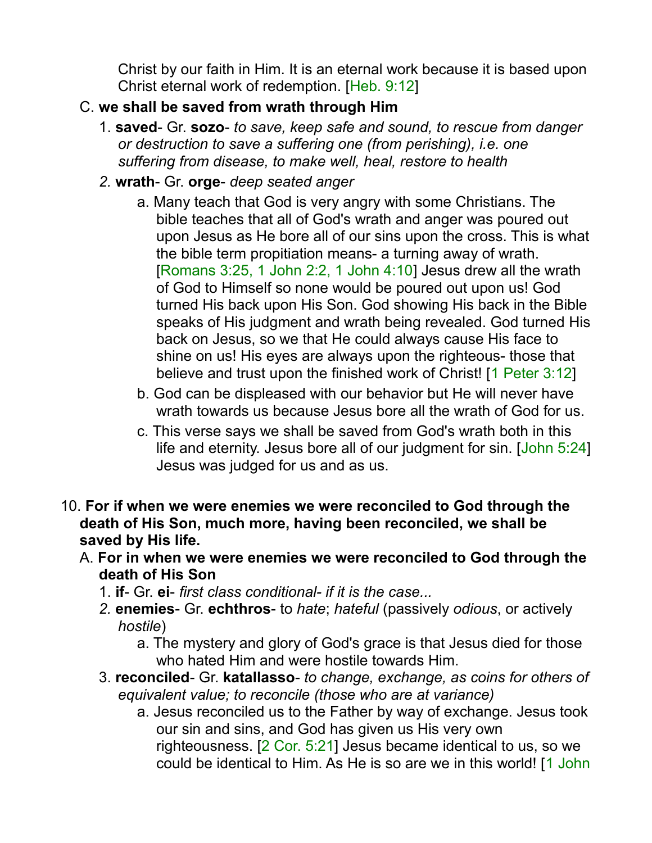Christ by our faith in Him. It is an eternal work because it is based upon Christ eternal work of redemption. [Heb. 9:12]

#### C. **we shall be saved from wrath through Him**

- 1. **saved** Gr. **sozo** *to save, keep safe and sound, to rescue from danger or destruction to save a suffering one (from perishing), i.e. one suffering from disease, to make well, heal, restore to health*
- *2.* **wrath** Gr. **orge** *deep seated anger*
	- a. Many teach that God is very angry with some Christians. The bible teaches that all of God's wrath and anger was poured out upon Jesus as He bore all of our sins upon the cross. This is what the bible term propitiation means- a turning away of wrath. [Romans 3:25, 1 John 2:2, 1 John 4:10] Jesus drew all the wrath of God to Himself so none would be poured out upon us! God turned His back upon His Son. God showing His back in the Bible speaks of His judgment and wrath being revealed. God turned His back on Jesus, so we that He could always cause His face to shine on us! His eyes are always upon the righteous- those that believe and trust upon the finished work of Christ! [1 Peter 3:12]
	- b. God can be displeased with our behavior but He will never have wrath towards us because Jesus bore all the wrath of God for us.
	- c. This verse says we shall be saved from God's wrath both in this life and eternity. Jesus bore all of our judgment for sin. [John 5:24] Jesus was judged for us and as us.
- 10. **For if when we were enemies we were reconciled to God through the death of His Son, much more, having been reconciled, we shall be saved by His life.** 
	- A. **For in when we were enemies we were reconciled to God through the death of His Son**
		- 1. **if** Gr. **ei** *first class conditional- if it is the case...*
		- *2.* **enemies** Gr. **echthros** to *hate*; *hateful* (passively *odious*, or actively *hostile*)
			- a. The mystery and glory of God's grace is that Jesus died for those who hated Him and were hostile towards Him.
		- 3. **reconciled** Gr. **katallasso** *to change, exchange, as coins for others of equivalent value; to reconcile (those who are at variance)*
			- a. Jesus reconciled us to the Father by way of exchange. Jesus took our sin and sins, and God has given us His very own righteousness. [2 Cor. 5:21] Jesus became identical to us, so we could be identical to Him. As He is so are we in this world! [1 John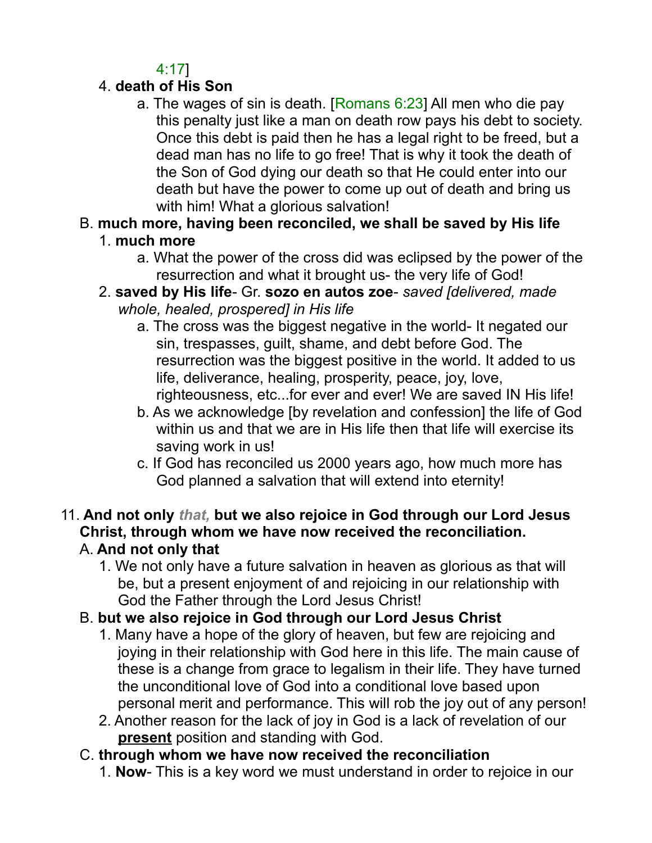4:17]

## 4. **death of His Son**

- a. The wages of sin is death. [Romans  $6:23$ ] All men who die pay this penalty just like a man on death row pays his debt to society. Once this debt is paid then he has a legal right to be freed, but a dead man has no life to go free! That is why it took the death of the Son of God dying our death so that He could enter into our death but have the power to come up out of death and bring us with him! What a glorious salvation!
- B. **much more, having been reconciled, we shall be saved by His life**
	- 1. **much more**
		- a. What the power of the cross did was eclipsed by the power of the resurrection and what it brought us- the very life of God!
	- 2. **saved by His life** Gr. **sozo en autos zoe** *saved [delivered, made whole, healed, prospered] in His life*
		- a. The cross was the biggest negative in the world- It negated our sin, trespasses, guilt, shame, and debt before God. The resurrection was the biggest positive in the world. It added to us life, deliverance, healing, prosperity, peace, joy, love, righteousness, etc...for ever and ever! We are saved IN His life!
		- b. As we acknowledge [by revelation and confession] the life of God within us and that we are in His life then that life will exercise its saving work in us!
		- c. If God has reconciled us 2000 years ago, how much more has God planned a salvation that will extend into eternity!
- 11. **And not only** *that,* **but we also rejoice in God through our Lord Jesus Christ, through whom we have now received the reconciliation.** A. **And not only that**
	- 1. We not only have a future salvation in heaven as glorious as that will be, but a present enjoyment of and rejoicing in our relationship with God the Father through the Lord Jesus Christ!
	- B. **but we also rejoice in God through our Lord Jesus Christ**
		- 1. Many have a hope of the glory of heaven, but few are rejoicing and joying in their relationship with God here in this life. The main cause of these is a change from grace to legalism in their life. They have turned the unconditional love of God into a conditional love based upon personal merit and performance. This will rob the joy out of any person!
		- 2. Another reason for the lack of joy in God is a lack of revelation of our **present** position and standing with God.

## C. **through whom we have now received the reconciliation**

1. **Now**- This is a key word we must understand in order to rejoice in our